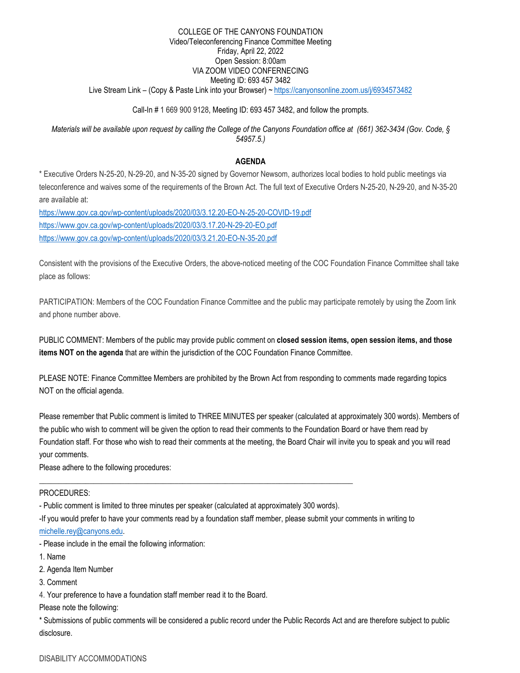## Live Stream Link – (Copy & Paste Link into your Browser) [~ https://canyonsonline.zoom.us/j/6934573482](https://canyonsonline.zoom.us/j/6934573482)  COLLEGE OF THE CANYONS FOUNDATION Video/Teleconferencing Finance Committee Meeting Friday, April 22, 2022 Open Session: 8:00am VIA ZOOM VIDEO CONFERNECING Meeting ID: 693 457 3482

# Call-In # 1 669 900 9128, Meeting ID: 693 457 3482, and follow the prompts.

 *Materials will be available upon request by calling the College of the Canyons Foundation office at (661) 362-3434 (Gov. Code, § 54957.5.)* 

## **AGENDA**

\* Executive Orders N-25-20, N-29-20, and N-35-20 signed by Governor Newsom, authorizes local bodies to hold public meetings via teleconference and waives some of the requirements of the Brown Act. The full text of Executive Orders N-25-20, N-29-20, and N-35-20 are available at:

<https://www.gov.ca.gov/wp-content/uploads/2020/03/3.12.20-EO-N-25-20-COVID-19.pdf> <https://www.gov.ca.gov/wp-content/uploads/2020/03/3.17.20-N-29-20-EO.pdf> <https://www.gov.ca.gov/wp-content/uploads/2020/03/3.21.20-EO-N-35-20.pdf>

Consistent with the provisions of the Executive Orders, the above-noticed meeting of the COC Foundation Finance Committee shall take place as follows:

PARTICIPATION: Members of the COC Foundation Finance Committee and the public may participate remotely by using the Zoom link and phone number above.

PUBLIC COMMENT: Members of the public may provide public comment on **closed session items, open session items, and those items NOT on the agenda** that are within the jurisdiction of the COC Foundation Finance Committee.

PLEASE NOTE: Finance Committee Members are prohibited by the Brown Act from responding to comments made regarding topics NOT on the official agenda.

Please remember that Public comment is limited to THREE MINUTES per speaker (calculated at approximately 300 words). Members of the public who wish to comment will be given the option to read their comments to the Foundation Board or have them read by Foundation staff. For those who wish to read their comments at the meeting, the Board Chair will invite you to speak and you will read your comments.

Please adhere to the following procedures:

## PROCEDURES:

- Public comment is limited to three minutes per speaker (calculated at approximately 300 words).

\_\_\_\_\_\_\_\_\_\_\_\_\_\_\_\_\_\_\_\_\_\_\_\_\_\_\_\_\_\_\_\_\_\_\_\_\_\_\_\_\_\_\_\_\_\_\_\_\_\_\_\_\_\_\_\_\_\_\_\_\_\_\_\_\_\_\_\_\_\_\_\_\_\_\_\_\_\_\_\_\_

-If you would prefer to have your comments read by a foundation staff member, please submit your comments in writing to

[michelle.rey@canyons.edu.](mailto:michelle.rey@canyons.edu) 

- Please include in the email the following information:

- 1. Name
- 2. Agenda Item Number
- 3. Comment

4. Your preference to have a foundation staff member read it to the Board.

Please note the following:

\* Submissions of public comments will be considered a public record under the Public Records Act and are therefore subject to public disclosure.